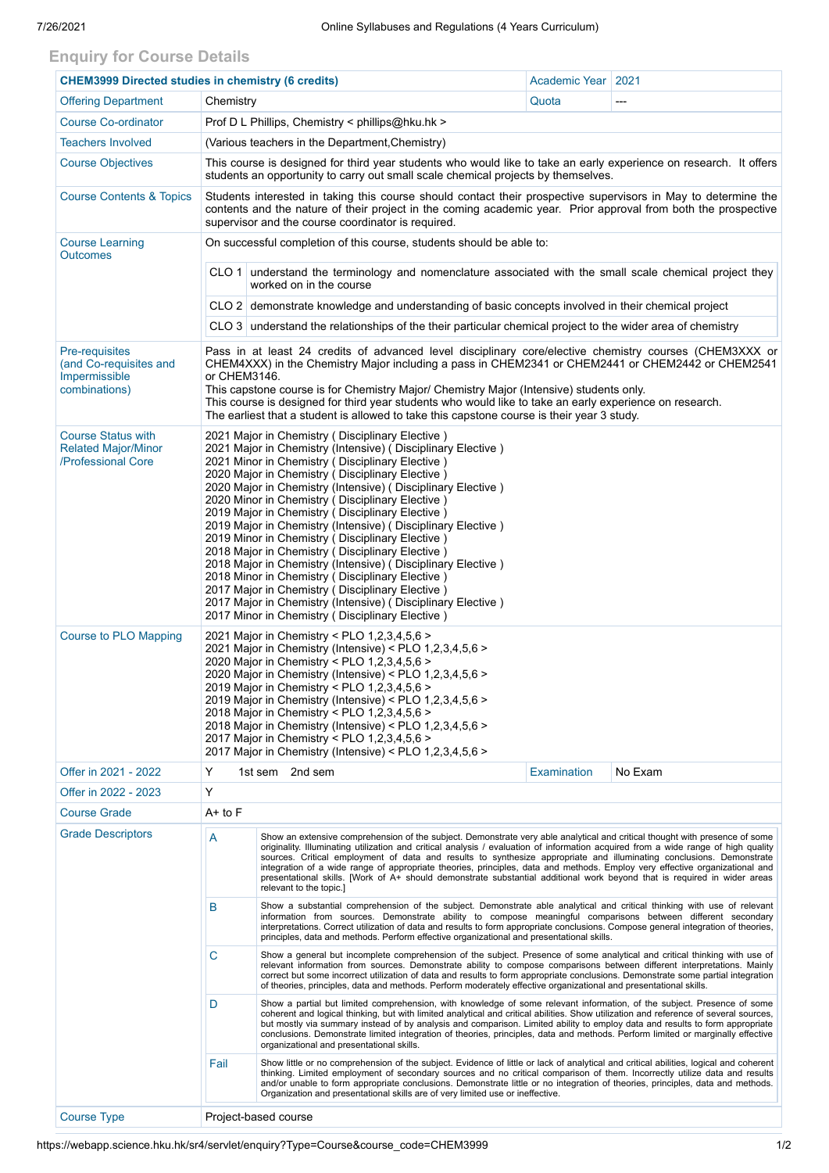## **Enquiry for Course Details**

| <b>CHEM3999 Directed studies in chemistry (6 credits)</b>                         |                                                                                                                                                                                                                                                                                                                                                                                                                                                                                                                                                                                                                                                                                                                                                                                                                                                         |                                                                                                                                                                                                                                                                                                                                                                                                                                                                                                                                                                                  | Academic Year   2021 |         |  |  |  |  |
|-----------------------------------------------------------------------------------|---------------------------------------------------------------------------------------------------------------------------------------------------------------------------------------------------------------------------------------------------------------------------------------------------------------------------------------------------------------------------------------------------------------------------------------------------------------------------------------------------------------------------------------------------------------------------------------------------------------------------------------------------------------------------------------------------------------------------------------------------------------------------------------------------------------------------------------------------------|----------------------------------------------------------------------------------------------------------------------------------------------------------------------------------------------------------------------------------------------------------------------------------------------------------------------------------------------------------------------------------------------------------------------------------------------------------------------------------------------------------------------------------------------------------------------------------|----------------------|---------|--|--|--|--|
| <b>Offering Department</b>                                                        | Chemistry                                                                                                                                                                                                                                                                                                                                                                                                                                                                                                                                                                                                                                                                                                                                                                                                                                               |                                                                                                                                                                                                                                                                                                                                                                                                                                                                                                                                                                                  | Quota                | ---     |  |  |  |  |
| <b>Course Co-ordinator</b>                                                        | Prof D L Phillips, Chemistry < phillips@hku.hk >                                                                                                                                                                                                                                                                                                                                                                                                                                                                                                                                                                                                                                                                                                                                                                                                        |                                                                                                                                                                                                                                                                                                                                                                                                                                                                                                                                                                                  |                      |         |  |  |  |  |
| <b>Teachers Involved</b>                                                          | (Various teachers in the Department, Chemistry)                                                                                                                                                                                                                                                                                                                                                                                                                                                                                                                                                                                                                                                                                                                                                                                                         |                                                                                                                                                                                                                                                                                                                                                                                                                                                                                                                                                                                  |                      |         |  |  |  |  |
| <b>Course Objectives</b>                                                          | This course is designed for third year students who would like to take an early experience on research. It offers<br>students an opportunity to carry out small scale chemical projects by themselves.                                                                                                                                                                                                                                                                                                                                                                                                                                                                                                                                                                                                                                                  |                                                                                                                                                                                                                                                                                                                                                                                                                                                                                                                                                                                  |                      |         |  |  |  |  |
| <b>Course Contents &amp; Topics</b>                                               | Students interested in taking this course should contact their prospective supervisors in May to determine the<br>contents and the nature of their project in the coming academic year. Prior approval from both the prospective<br>supervisor and the course coordinator is required.                                                                                                                                                                                                                                                                                                                                                                                                                                                                                                                                                                  |                                                                                                                                                                                                                                                                                                                                                                                                                                                                                                                                                                                  |                      |         |  |  |  |  |
| <b>Course Learning</b><br><b>Outcomes</b>                                         | On successful completion of this course, students should be able to:                                                                                                                                                                                                                                                                                                                                                                                                                                                                                                                                                                                                                                                                                                                                                                                    |                                                                                                                                                                                                                                                                                                                                                                                                                                                                                                                                                                                  |                      |         |  |  |  |  |
|                                                                                   | CLO 1 understand the terminology and nomenclature associated with the small scale chemical project they<br>worked on in the course                                                                                                                                                                                                                                                                                                                                                                                                                                                                                                                                                                                                                                                                                                                      |                                                                                                                                                                                                                                                                                                                                                                                                                                                                                                                                                                                  |                      |         |  |  |  |  |
|                                                                                   | CLO 2 demonstrate knowledge and understanding of basic concepts involved in their chemical project                                                                                                                                                                                                                                                                                                                                                                                                                                                                                                                                                                                                                                                                                                                                                      |                                                                                                                                                                                                                                                                                                                                                                                                                                                                                                                                                                                  |                      |         |  |  |  |  |
|                                                                                   | CLO 3 understand the relationships of the their particular chemical project to the wider area of chemistry                                                                                                                                                                                                                                                                                                                                                                                                                                                                                                                                                                                                                                                                                                                                              |                                                                                                                                                                                                                                                                                                                                                                                                                                                                                                                                                                                  |                      |         |  |  |  |  |
| <b>Pre-requisites</b><br>(and Co-requisites and<br>Impermissible<br>combinations) | Pass in at least 24 credits of advanced level disciplinary core/elective chemistry courses (CHEM3XXX or<br>CHEM4XXX) in the Chemistry Major including a pass in CHEM2341 or CHEM2441 or CHEM2442 or CHEM2541<br>or CHEM3146.<br>This capstone course is for Chemistry Major/ Chemistry Major (Intensive) students only.<br>This course is designed for third year students who would like to take an early experience on research.<br>The earliest that a student is allowed to take this capstone course is their year 3 study.                                                                                                                                                                                                                                                                                                                        |                                                                                                                                                                                                                                                                                                                                                                                                                                                                                                                                                                                  |                      |         |  |  |  |  |
| <b>Course Status with</b><br><b>Related Major/Minor</b><br>/Professional Core     | 2021 Major in Chemistry (Disciplinary Elective)<br>2021 Major in Chemistry (Intensive) (Disciplinary Elective)<br>2021 Minor in Chemistry (Disciplinary Elective)<br>2020 Major in Chemistry (Disciplinary Elective)<br>2020 Major in Chemistry (Intensive) (Disciplinary Elective)<br>2020 Minor in Chemistry (Disciplinary Elective)<br>2019 Major in Chemistry ( Disciplinary Elective )<br>2019 Major in Chemistry (Intensive) (Disciplinary Elective)<br>2019 Minor in Chemistry (Disciplinary Elective)<br>2018 Major in Chemistry (Disciplinary Elective)<br>2018 Major in Chemistry (Intensive) (Disciplinary Elective)<br>2018 Minor in Chemistry (Disciplinary Elective)<br>2017 Major in Chemistry (Disciplinary Elective)<br>2017 Major in Chemistry (Intensive) (Disciplinary Elective)<br>2017 Minor in Chemistry (Disciplinary Elective) |                                                                                                                                                                                                                                                                                                                                                                                                                                                                                                                                                                                  |                      |         |  |  |  |  |
| <b>Course to PLO Mapping</b>                                                      | 2021 Major in Chemistry < PLO 1,2,3,4,5,6 ><br>2021 Major in Chemistry (Intensive) < PLO 1,2,3,4,5,6 ><br>2020 Major in Chemistry < PLO 1,2,3,4,5,6 ><br>2020 Major in Chemistry (Intensive) < PLO 1,2,3,4,5,6 ><br>2019 Major in Chemistry < PLO 1,2,3,4,5,6 ><br>2019 Major in Chemistry (Intensive) < PLO 1,2,3,4,5,6 ><br>2018 Major in Chemistry < PLO 1,2,3,4,5,6 ><br>2018 Major in Chemistry (Intensive) < PLO 1,2,3,4,5,6 ><br>2017 Major in Chemistry < PLO 1,2,3,4,5,6 ><br>2017 Major in Chemistry (Intensive) < PLO 1,2,3,4,5,6 >                                                                                                                                                                                                                                                                                                          |                                                                                                                                                                                                                                                                                                                                                                                                                                                                                                                                                                                  |                      |         |  |  |  |  |
| Offer in 2021 - 2022                                                              | Υ                                                                                                                                                                                                                                                                                                                                                                                                                                                                                                                                                                                                                                                                                                                                                                                                                                                       | 1st sem 2nd sem                                                                                                                                                                                                                                                                                                                                                                                                                                                                                                                                                                  | <b>Examination</b>   | No Exam |  |  |  |  |
| Offer in 2022 - 2023                                                              | Y                                                                                                                                                                                                                                                                                                                                                                                                                                                                                                                                                                                                                                                                                                                                                                                                                                                       |                                                                                                                                                                                                                                                                                                                                                                                                                                                                                                                                                                                  |                      |         |  |  |  |  |
| <b>Course Grade</b>                                                               | $A+$ to $F$                                                                                                                                                                                                                                                                                                                                                                                                                                                                                                                                                                                                                                                                                                                                                                                                                                             |                                                                                                                                                                                                                                                                                                                                                                                                                                                                                                                                                                                  |                      |         |  |  |  |  |
| <b>Grade Descriptors</b>                                                          | А<br>Show an extensive comprehension of the subject. Demonstrate very able analytical and critical thought with presence of some<br>originality. Illuminating utilization and critical analysis / evaluation of information acquired from a wide range of high quality<br>sources. Critical employment of data and results to synthesize appropriate and illuminating conclusions. Demonstrate<br>integration of a wide range of appropriate theories, principles, data and methods. Employ very effective organizational and<br>presentational skills. [Work of A+ should demonstrate substantial additional work beyond that is required in wider areas<br>relevant to the topic.]                                                                                                                                                                    |                                                                                                                                                                                                                                                                                                                                                                                                                                                                                                                                                                                  |                      |         |  |  |  |  |
|                                                                                   | B                                                                                                                                                                                                                                                                                                                                                                                                                                                                                                                                                                                                                                                                                                                                                                                                                                                       | Show a substantial comprehension of the subject. Demonstrate able analytical and critical thinking with use of relevant<br>information from sources. Demonstrate ability to compose meaningful comparisons between different secondary<br>interpretations. Correct utilization of data and results to form appropriate conclusions. Compose general integration of theories,<br>principles, data and methods. Perform effective organizational and presentational skills.                                                                                                        |                      |         |  |  |  |  |
|                                                                                   | $\mathbf C$                                                                                                                                                                                                                                                                                                                                                                                                                                                                                                                                                                                                                                                                                                                                                                                                                                             | Show a general but incomplete comprehension of the subject. Presence of some analytical and critical thinking with use of<br>relevant information from sources. Demonstrate ability to compose comparisons between different interpretations. Mainly<br>correct but some incorrect utilization of data and results to form appropriate conclusions. Demonstrate some partial integration<br>of theories, principles, data and methods. Perform moderately effective organizational and presentational skills.                                                                    |                      |         |  |  |  |  |
|                                                                                   | D                                                                                                                                                                                                                                                                                                                                                                                                                                                                                                                                                                                                                                                                                                                                                                                                                                                       | Show a partial but limited comprehension, with knowledge of some relevant information, of the subject. Presence of some<br>coherent and logical thinking, but with limited analytical and critical abilities. Show utilization and reference of several sources,<br>but mostly via summary instead of by analysis and comparison. Limited ability to employ data and results to form appropriate<br>conclusions. Demonstrate limited integration of theories, principles, data and methods. Perform limited or marginally effective<br>organizational and presentational skills. |                      |         |  |  |  |  |
|                                                                                   | Fail                                                                                                                                                                                                                                                                                                                                                                                                                                                                                                                                                                                                                                                                                                                                                                                                                                                    | Show little or no comprehension of the subject. Evidence of little or lack of analytical and critical abilities, logical and coherent<br>thinking. Limited employment of secondary sources and no critical comparison of them. Incorrectly utilize data and results<br>and/or unable to form appropriate conclusions. Demonstrate little or no integration of theories, principles, data and methods.<br>Organization and presentational skills are of very limited use or ineffective.                                                                                          |                      |         |  |  |  |  |
| <b>Course Type</b>                                                                | Project-based course                                                                                                                                                                                                                                                                                                                                                                                                                                                                                                                                                                                                                                                                                                                                                                                                                                    |                                                                                                                                                                                                                                                                                                                                                                                                                                                                                                                                                                                  |                      |         |  |  |  |  |